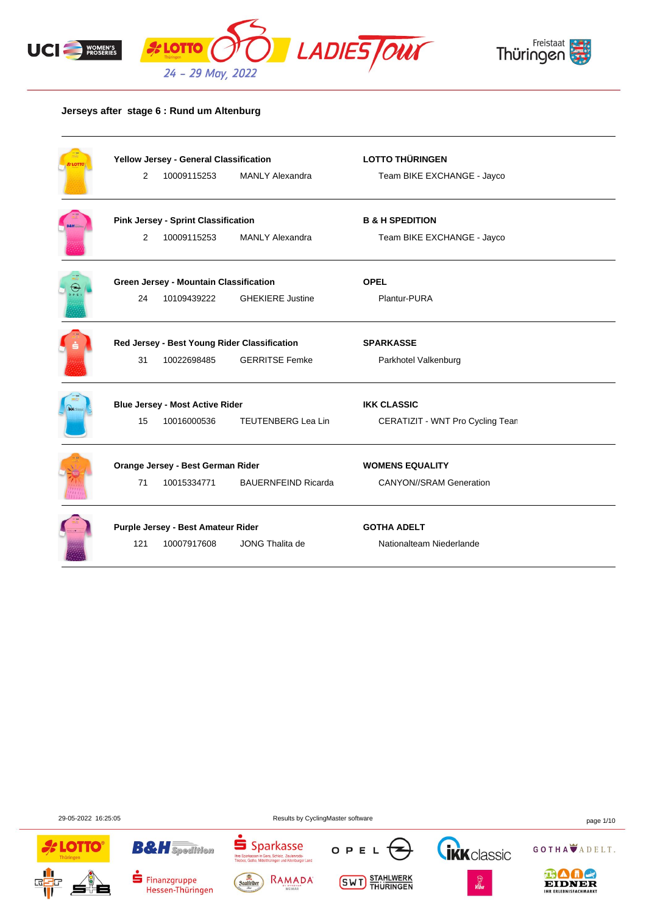



## **Jerseys after stage 6 : Rund um Altenburg**

|                                              | Yellow Jersey - General Classification     |                            | <b>LOTTO THÜRINGEN</b>           |  |  |  |
|----------------------------------------------|--------------------------------------------|----------------------------|----------------------------------|--|--|--|
| $\overline{2}$                               | 10009115253                                | <b>MANLY Alexandra</b>     | Team BIKE EXCHANGE - Jayco       |  |  |  |
|                                              | <b>Pink Jersey - Sprint Classification</b> |                            | <b>B &amp; H SPEDITION</b>       |  |  |  |
| 2                                            | 10009115253                                | <b>MANLY Alexandra</b>     | Team BIKE EXCHANGE - Jayco       |  |  |  |
| Green Jersey - Mountain Classification       |                                            |                            | <b>OPEL</b>                      |  |  |  |
| 24                                           | 10109439222                                | <b>GHEKIERE Justine</b>    | Plantur-PURA                     |  |  |  |
| Red Jersey - Best Young Rider Classification |                                            |                            | <b>SPARKASSE</b>                 |  |  |  |
| 31                                           | 10022698485                                | <b>GERRITSE Femke</b>      | Parkhotel Valkenburg             |  |  |  |
|                                              | <b>Blue Jersey - Most Active Rider</b>     |                            | <b>IKK CLASSIC</b>               |  |  |  |
| 15                                           | 10016000536                                | TEUTENBERG Lea Lin         | CERATIZIT - WNT Pro Cycling Tean |  |  |  |
|                                              | Orange Jersey - Best German Rider          |                            | <b>WOMENS EQUALITY</b>           |  |  |  |
| 71                                           | 10015334771                                | <b>BAUERNFEIND Ricarda</b> | <b>CANYON//SRAM Generation</b>   |  |  |  |
| Purple Jersey - Best Amateur Rider           |                                            |                            | <b>GOTHA ADELT</b>               |  |  |  |
| 121                                          | 10007917608                                | JONG Thalita de            | Nationalteam Niederlande         |  |  |  |

29-05-2022 16:25:05 Results by CyclingMaster software page 1/10







Hessen-Thüringen





**SWT** STAHLWERK





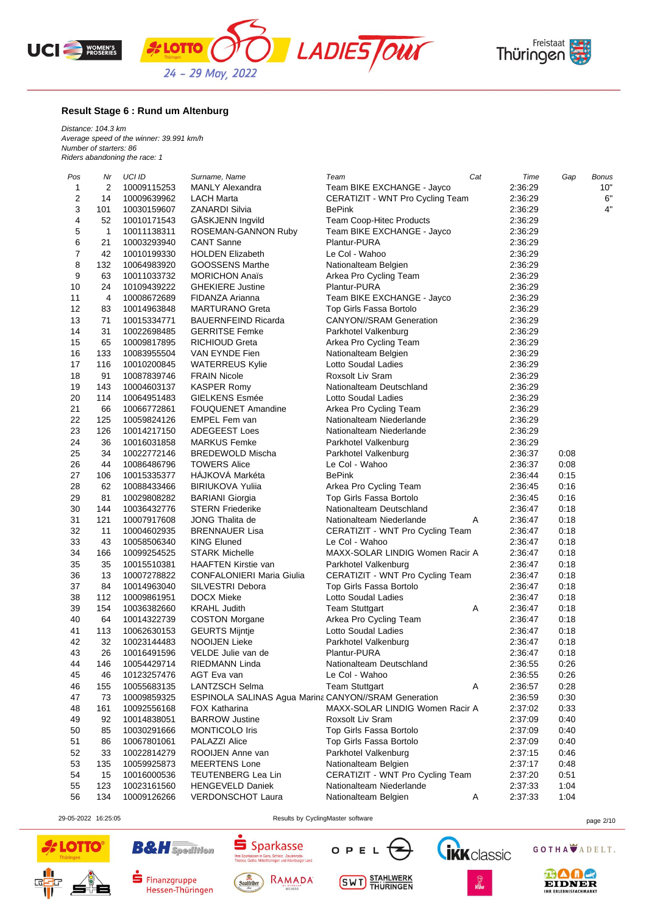





#### **Result Stage 6 : Rund um Altenburg**

*Distance: 104.3 km Average speed of the winner: 39.991 km/h Number of starters: 86 Riders abandoning the race: 1*

| Pos              | Nr           | UCI ID      | Surname, Name                                        | Team                             | Cat | Time    | Gap  | <b>Bonus</b> |
|------------------|--------------|-------------|------------------------------------------------------|----------------------------------|-----|---------|------|--------------|
| 1                | 2            | 10009115253 | <b>MANLY Alexandra</b>                               | Team BIKE EXCHANGE - Jayco       |     | 2:36:29 |      | 10"          |
| $\overline{2}$   | 14           | 10009639962 | <b>LACH Marta</b>                                    | CERATIZIT - WNT Pro Cycling Team |     | 2:36:29 |      | 6"           |
| 3                | 101          | 10030159607 | <b>ZANARDI Silvia</b>                                | <b>BePink</b>                    |     | 2:36:29 |      | 4"           |
| 4                | 52           | 10010171543 | GASKJENN Ingvild                                     | Team Coop-Hitec Products         |     | 2:36:29 |      |              |
| $\mathbf 5$      | $\mathbf{1}$ | 10011138311 | ROSEMAN-GANNON Ruby                                  | Team BIKE EXCHANGE - Jayco       |     | 2:36:29 |      |              |
| 6                | 21           | 10003293940 | <b>CANT Sanne</b>                                    | Plantur-PURA                     |     | 2:36:29 |      |              |
| $\boldsymbol{7}$ | 42           | 10010199330 | <b>HOLDEN Elizabeth</b>                              | Le Col - Wahoo                   |     | 2:36:29 |      |              |
| 8                | 132          | 10064983920 | <b>GOOSSENS Marthe</b>                               | Nationalteam Belgien             |     | 2:36:29 |      |              |
| 9                | 63           | 10011033732 | <b>MORICHON Anaïs</b>                                | Arkea Pro Cycling Team           |     | 2:36:29 |      |              |
| 10               | 24           | 10109439222 | <b>GHEKIERE Justine</b>                              | Plantur-PURA                     |     | 2:36:29 |      |              |
| 11               | 4            | 10008672689 | FIDANZA Arianna                                      | Team BIKE EXCHANGE - Jayco       |     | 2:36:29 |      |              |
| 12               | 83           | 10014963848 | <b>MARTURANO Greta</b>                               | Top Girls Fassa Bortolo          |     | 2:36:29 |      |              |
| 13               | 71           | 10015334771 | <b>BAUERNFEIND Ricarda</b>                           | <b>CANYON//SRAM Generation</b>   |     | 2:36:29 |      |              |
| 14               | 31           | 10022698485 | <b>GERRITSE Femke</b>                                | Parkhotel Valkenburg             |     | 2:36:29 |      |              |
| 15               | 65           | 10009817895 | <b>RICHIOUD Greta</b>                                | Arkea Pro Cycling Team           |     | 2:36:29 |      |              |
| 16               | 133          | 10083955504 | VAN EYNDE Fien                                       | Nationalteam Belgien             |     | 2:36:29 |      |              |
| 17               | 116          | 10010200845 | <b>WATERREUS Kylie</b>                               | Lotto Soudal Ladies              |     | 2:36:29 |      |              |
| 18               | 91           | 10087839746 | <b>FRAIN Nicole</b>                                  | Roxsolt Liv Sram                 |     | 2:36:29 |      |              |
| 19               | 143          | 10004603137 | <b>KASPER Romy</b>                                   | Nationalteam Deutschland         |     | 2:36:29 |      |              |
| 20               | 114          | 10064951483 | <b>GIELKENS Esmée</b>                                | Lotto Soudal Ladies              |     | 2:36:29 |      |              |
| 21               | 66           | 10066772861 | <b>FOUQUENET Amandine</b>                            | Arkea Pro Cycling Team           |     | 2:36:29 |      |              |
| 22               | 125          | 10059824126 | <b>EMPEL Fem van</b>                                 | Nationalteam Niederlande         |     | 2:36:29 |      |              |
| 23               | 126          | 10014217150 | <b>ADEGEEST Loes</b>                                 | Nationalteam Niederlande         |     | 2:36:29 |      |              |
| 24               | 36           | 10016031858 | <b>MARKUS Femke</b>                                  | Parkhotel Valkenburg             |     | 2:36:29 |      |              |
| 25               | 34           | 10022772146 | <b>BREDEWOLD Mischa</b>                              | Parkhotel Valkenburg             |     | 2:36:37 | 0:08 |              |
| 26               | 44           | 10086486796 | <b>TOWERS Alice</b>                                  | Le Col - Wahoo                   |     | 2:36:37 | 0:08 |              |
| 27               | 106          | 10015335377 | HAJKOVA Markéta                                      | <b>BePink</b>                    |     | 2:36:44 | 0:15 |              |
| 28               | 62           | 10088433466 | <b>BIRIUKOVA Yuliia</b>                              | Arkea Pro Cycling Team           |     | 2:36:45 | 0:16 |              |
| 29               | 81           | 10029808282 | <b>BARIANI</b> Giorgia                               | Top Girls Fassa Bortolo          |     | 2:36:45 | 0:16 |              |
| 30               | 144          | 10036432776 | <b>STERN Friederike</b>                              | Nationalteam Deutschland         |     | 2:36:47 | 0:18 |              |
| 31               | 121          | 10007917608 | JONG Thalita de                                      | Nationalteam Niederlande         | A   | 2:36:47 | 0:18 |              |
| 32               | 11           | 10004602935 | <b>BRENNAUER Lisa</b>                                | CERATIZIT - WNT Pro Cycling Team |     | 2:36:47 | 0:18 |              |
| 33               | 43           | 10058506340 | <b>KING Eluned</b>                                   | Le Col - Wahoo                   |     | 2:36:47 | 0:18 |              |
| 34               | 166          | 10099254525 | <b>STARK Michelle</b>                                | MAXX-SOLAR LINDIG Women Racir A  |     | 2:36:47 | 0:18 |              |
| 35               | 35           | 10015510381 | <b>HAAFTEN Kirstie van</b>                           | Parkhotel Valkenburg             |     | 2:36:47 | 0:18 |              |
| 36               | 13           | 10007278822 | <b>CONFALONIERI Maria Giulia</b>                     | CERATIZIT - WNT Pro Cycling Team |     | 2:36:47 | 0:18 |              |
| 37               | 84           | 10014963040 | SILVESTRI Debora                                     | Top Girls Fassa Bortolo          |     | 2:36:47 | 0:18 |              |
| 38               | 112          | 10009861951 | <b>DOCX Mieke</b>                                    | Lotto Soudal Ladies              |     | 2:36:47 | 0:18 |              |
| 39               | 154          | 10036382660 | <b>KRAHL Judith</b>                                  | <b>Team Stuttgart</b>            | Α   | 2:36:47 | 0:18 |              |
| 40               | 64           | 10014322739 | <b>COSTON Morgane</b>                                | Arkea Pro Cycling Team           |     | 2:36:47 | 0:18 |              |
| 41               | 113          | 10062630153 | <b>GEURTS Mijntje</b>                                | Lotto Soudal Ladies              |     | 2:36:47 | 0:18 |              |
| 42               | 32           | 10023144483 | NOOIJEN Lieke                                        | Parkhotel Valkenburg             |     | 2:36:47 | 0:18 |              |
| 43               | 26           | 10016491596 | VELDE Julie van de                                   | Plantur-PURA                     |     | 2:36:47 | 0:18 |              |
| 44               | 146          | 10054429714 | RIEDMANN Linda                                       | Nationalteam Deutschland         |     | 2:36:55 | 0:26 |              |
| 45               | 46           | 10123257476 | AGT Eva van                                          | Le Col - Wahoo                   |     | 2:36:55 | 0:26 |              |
| 46               | 155          | 10055683135 | <b>LANTZSCH Selma</b>                                | <b>Team Stuttgart</b>            | Α   | 2:36:57 | 0:28 |              |
| 47               | 73           | 10009859325 | ESPINOLA SALINAS Agua Marina CANYON//SRAM Generation |                                  |     | 2:36:59 | 0:30 |              |
| 48               | 161          | 10092556168 | FOX Katharina                                        | MAXX-SOLAR LINDIG Women Racir A  |     | 2:37:02 | 0:33 |              |
| 49               | 92           | 10014838051 | <b>BARROW Justine</b>                                | Roxsolt Liv Sram                 |     | 2:37:09 | 0:40 |              |
| 50               | 85           | 10030291666 | <b>MONTICOLO Iris</b>                                | Top Girls Fassa Bortolo          |     | 2:37:09 | 0:40 |              |
| 51               | 86           | 10067801061 | PALAZZI Alice                                        | Top Girls Fassa Bortolo          |     | 2:37:09 | 0:40 |              |
| 52               | 33           | 10022814279 | ROOIJEN Anne van                                     | Parkhotel Valkenburg             |     | 2:37:15 | 0:46 |              |
| 53               | 135          | 10059925873 | <b>MEERTENS Lone</b>                                 | Nationalteam Belgien             |     | 2:37:17 | 0:48 |              |
| 54               | 15           | 10016000536 | TEUTENBERG Lea Lin                                   | CERATIZIT - WNT Pro Cycling Team |     | 2:37:20 | 0:51 |              |
| 55               | 123          | 10023161560 | <b>HENGEVELD Daniek</b>                              | Nationalteam Niederlande         |     | 2:37:33 | 1:04 |              |
| 56               | 134          | 10009126266 | <b>VERDONSCHOT Laura</b>                             | Nationalteam Belgien             | Α   | 2:37:33 | 1:04 |              |

29-05-2022 16:25:05 Results by CyclingMaster software page 2/10





**B&H** Spedition



 $S<sub>parkasse</sub>$ 

.<br>1 Gera, Schleiz, Zeulenroda-<br>ittelthüringen und Altenburger Land

Thre Spa





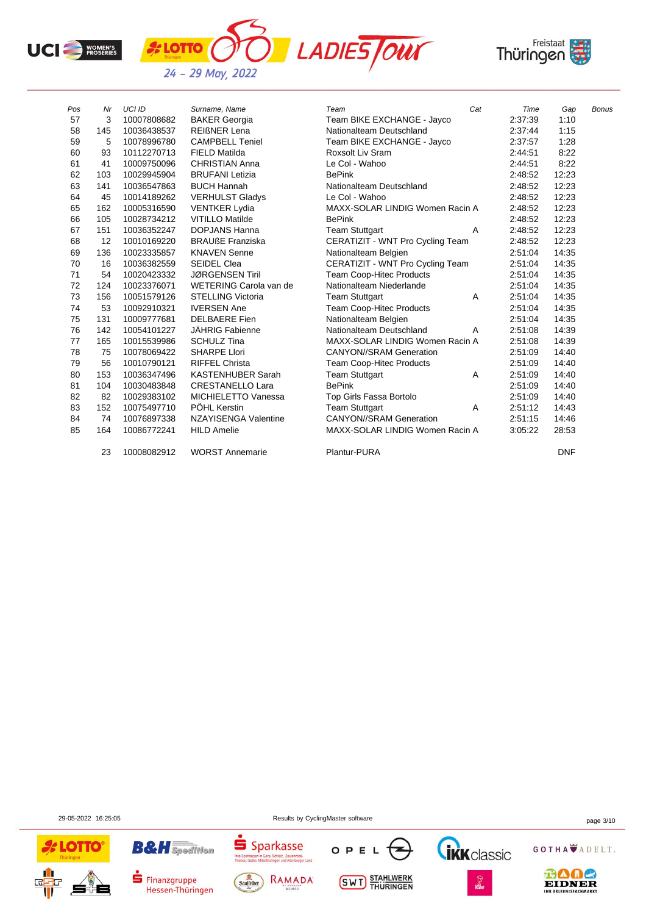



| Pos | Nr  | <b>UCI ID</b> | Surname, Name              | Team                             | Cat | Time    | Gap        | <b>Bonus</b> |
|-----|-----|---------------|----------------------------|----------------------------------|-----|---------|------------|--------------|
| 57  | 3   | 10007808682   | <b>BAKER Georgia</b>       | Team BIKE EXCHANGE - Jayco       |     | 2:37:39 | 1:10       |              |
| 58  | 145 | 10036438537   | <b>REIGNER Lena</b>        | Nationalteam Deutschland         |     | 2:37:44 | 1:15       |              |
| 59  | 5   | 10078996780   | <b>CAMPBELL Teniel</b>     | Team BIKE EXCHANGE - Jayco       |     | 2:37:57 | 1:28       |              |
| 60  | 93  | 10112270713   | <b>FIELD Matilda</b>       | Roxsolt Liv Sram                 |     | 2:44:51 | 8:22       |              |
| 61  | 41  | 10009750096   | <b>CHRISTIAN Anna</b>      | Le Col - Wahoo                   |     | 2:44:51 | 8:22       |              |
| 62  | 103 | 10029945904   | <b>BRUFANI</b> Letizia     | <b>BePink</b>                    |     | 2:48:52 | 12:23      |              |
| 63  | 141 | 10036547863   | <b>BUCH Hannah</b>         | Nationalteam Deutschland         |     | 2:48:52 | 12:23      |              |
| 64  | 45  | 10014189262   | <b>VERHULST Gladys</b>     | Le Col - Wahoo                   |     | 2:48:52 | 12:23      |              |
| 65  | 162 | 10005316590   | <b>VENTKER Lydia</b>       | MAXX-SOLAR LINDIG Women Racin A  |     | 2:48:52 | 12:23      |              |
| 66  | 105 | 10028734212   | <b>VITILLO Matilde</b>     | <b>BePink</b>                    |     | 2:48:52 | 12:23      |              |
| 67  | 151 | 10036352247   | <b>DOPJANS Hanna</b>       | <b>Team Stuttgart</b>            | A   | 2:48:52 | 12:23      |              |
| 68  | 12  | 10010169220   | <b>BRAUßE Franziska</b>    | CERATIZIT - WNT Pro Cycling Team |     | 2:48:52 | 12:23      |              |
| 69  | 136 | 10023335857   | <b>KNAVEN Senne</b>        | Nationalteam Belgien             |     | 2:51:04 | 14:35      |              |
| 70  | 16  | 10036382559   | <b>SEIDEL Clea</b>         | CERATIZIT - WNT Pro Cycling Team |     | 2:51:04 | 14:35      |              |
| 71  | 54  | 10020423332   | <b>JØRGENSEN Tiril</b>     | Team Coop-Hitec Products         |     | 2:51:04 | 14:35      |              |
| 72  | 124 | 10023376071   | WETERING Carola van de     | Nationalteam Niederlande         |     | 2:51:04 | 14:35      |              |
| 73  | 156 | 10051579126   | <b>STELLING Victoria</b>   | <b>Team Stuttgart</b>            | A   | 2:51:04 | 14:35      |              |
| 74  | 53  | 10092910321   | <b>IVERSEN Ane</b>         | <b>Team Coop-Hitec Products</b>  |     | 2:51:04 | 14:35      |              |
| 75  | 131 | 10009777681   | <b>DELBAERE</b> Fien       | Nationalteam Belgien             |     | 2:51:04 | 14:35      |              |
| 76  | 142 | 10054101227   | <b>JÄHRIG Fabienne</b>     | Nationalteam Deutschland         | Α   | 2:51:08 | 14:39      |              |
| 77  | 165 | 10015539986   | <b>SCHULZ Tina</b>         | MAXX-SOLAR LINDIG Women Racin A  |     | 2:51:08 | 14:39      |              |
| 78  | 75  | 10078069422   | <b>SHARPE Llori</b>        | <b>CANYON//SRAM Generation</b>   |     | 2:51:09 | 14:40      |              |
| 79  | 56  | 10010790121   | <b>RIFFEL Christa</b>      | <b>Team Coop-Hitec Products</b>  |     | 2:51:09 | 14:40      |              |
| 80  | 153 | 10036347496   | <b>KASTENHUBER Sarah</b>   | <b>Team Stuttgart</b>            | A   | 2:51:09 | 14:40      |              |
| 81  | 104 | 10030483848   | <b>CRESTANELLO Lara</b>    | <b>BePink</b>                    |     | 2:51:09 | 14:40      |              |
| 82  | 82  | 10029383102   | <b>MICHIELETTO Vanessa</b> | Top Girls Fassa Bortolo          |     | 2:51:09 | 14:40      |              |
| 83  | 152 | 10075497710   | PÖHL Kerstin               | <b>Team Stuttgart</b>            | Α   | 2:51:12 | 14:43      |              |
| 84  | 74  | 10076897338   | NZAYISENGA Valentine       | <b>CANYON//SRAM Generation</b>   |     | 2:51:15 | 14:46      |              |
| 85  | 164 | 10086772241   | <b>HILD Amelie</b>         | MAXX-SOLAR LINDIG Women Racin A  |     | 3:05:22 | 28:53      |              |
|     | 23  | 10008082912   | <b>WORST Annemarie</b>     | Plantur-PURA                     |     |         | <b>DNF</b> |              |

29-05-2022 16:25:05 Results by CyclingMaster software page 3/10



**B&H** Spedition Finanzgruppe

Hessen-Thüringen









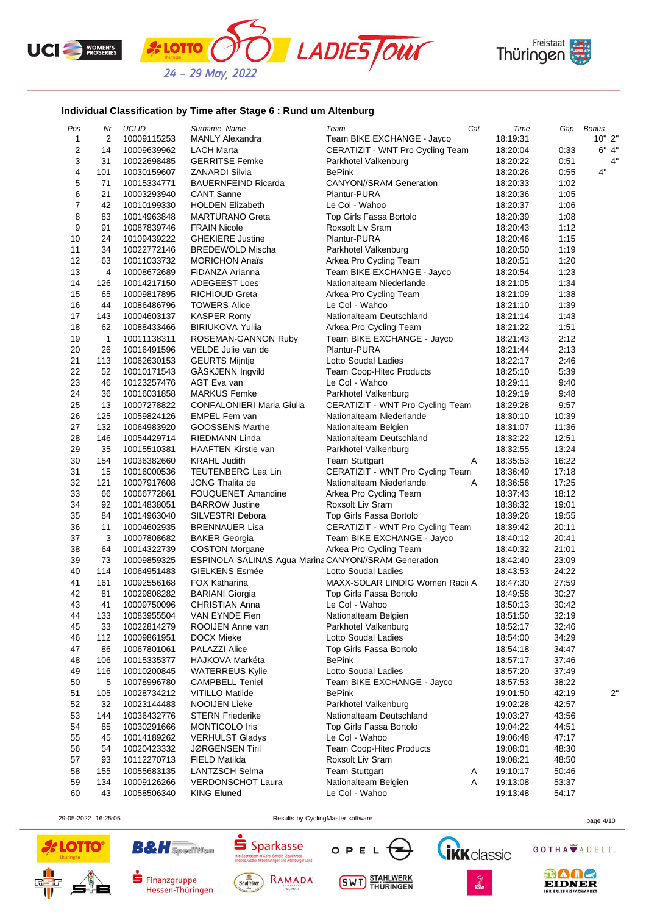





## **Individual Classification by Time after Stage 6 : Rund um Altenburg**

| Pos            | Nr  | UCI ID      | Surname, Name                                        | Team                             | Cat | Time     | Gap   | <b>Bonus</b> |
|----------------|-----|-------------|------------------------------------------------------|----------------------------------|-----|----------|-------|--------------|
| 1              | 2   | 10009115253 | <b>MANLY Alexandra</b>                               | Team BIKE EXCHANGE - Jayco       |     | 18:19:31 |       | 10" 2"       |
| 2              | 14  | 10009639962 | LACH Marta                                           | CERATIZIT - WNT Pro Cycling Team |     | 18:20:04 | 0:33  | 6" 4"        |
| 3              | 31  | 10022698485 | <b>GERRITSE Femke</b>                                | Parkhotel Valkenburg             |     | 18:20:22 | 0:51  | 4"           |
| 4              | 101 | 10030159607 | ZANARDI Silvia                                       | <b>BePink</b>                    |     | 18:20:26 | 0:55  | 4"           |
| 5              | 71  | 10015334771 | <b>BAUERNFEIND Ricarda</b>                           | <b>CANYON//SRAM Generation</b>   |     | 18:20:33 | 1:02  |              |
| 6              | 21  | 10003293940 | <b>CANT Sanne</b>                                    | Plantur-PURA                     |     | 18:20:36 | 1:05  |              |
| $\overline{7}$ | 42  | 10010199330 | <b>HOLDEN Elizabeth</b>                              | Le Col - Wahoo                   |     | 18:20:37 | 1:06  |              |
| 8              | 83  | 10014963848 | <b>MARTURANO Greta</b>                               | Top Girls Fassa Bortolo          |     | 18:20:39 | 1:08  |              |
| 9              | 91  | 10087839746 | <b>FRAIN Nicole</b>                                  | Roxsolt Liv Sram                 |     | 18:20:43 | 1:12  |              |
| 10             | 24  | 10109439222 | <b>GHEKIERE Justine</b>                              | Plantur-PURA                     |     | 18:20:46 | 1:15  |              |
| 11             | 34  | 10022772146 | <b>BREDEWOLD Mischa</b>                              | Parkhotel Valkenburg             |     | 18:20:50 | 1:19  |              |
| 12             | 63  | 10011033732 | <b>MORICHON Anaïs</b>                                | Arkea Pro Cycling Team           |     | 18:20:51 | 1:20  |              |
| 13             | 4   | 10008672689 | FIDANZA Arianna                                      | Team BIKE EXCHANGE - Jayco       |     | 18:20:54 | 1:23  |              |
| 14             |     |             |                                                      |                                  |     |          |       |              |
|                | 126 | 10014217150 | ADEGEEST Loes                                        | Nationalteam Niederlande         |     | 18:21:05 | 1:34  |              |
| 15             | 65  | 10009817895 | <b>RICHIOUD Greta</b>                                | Arkea Pro Cycling Team           |     | 18:21:09 | 1:38  |              |
| 16             | 44  | 10086486796 | <b>TOWERS Alice</b>                                  | Le Col - Wahoo                   |     | 18:21:10 | 1:39  |              |
| 17             | 143 | 10004603137 | <b>KASPER Romy</b>                                   | Nationalteam Deutschland         |     | 18:21:14 | 1:43  |              |
| 18             | 62  | 10088433466 | <b>BIRIUKOVA Yuliia</b>                              | Arkea Pro Cycling Team           |     | 18:21:22 | 1:51  |              |
| 19             | 1   | 10011138311 | ROSEMAN-GANNON Ruby                                  | Team BIKE EXCHANGE - Jayco       |     | 18:21:43 | 2:12  |              |
| 20             | 26  | 10016491596 | VELDE Julie van de                                   | Plantur-PURA                     |     | 18:21:44 | 2:13  |              |
| 21             | 113 | 10062630153 | <b>GEURTS Mijntje</b>                                | Lotto Soudal Ladies              |     | 18:22:17 | 2:46  |              |
| 22             | 52  | 10010171543 | GASKJENN Ingvild                                     | <b>Team Coop-Hitec Products</b>  |     | 18:25:10 | 5:39  |              |
| 23             | 46  | 10123257476 | AGT Eva van                                          | Le Col - Wahoo                   |     | 18:29:11 | 9:40  |              |
| 24             | 36  | 10016031858 | <b>MARKUS Femke</b>                                  | Parkhotel Valkenburg             |     | 18:29:19 | 9:48  |              |
| 25             | 13  | 10007278822 | <b>CONFALONIERI Maria Giulia</b>                     | CERATIZIT - WNT Pro Cycling Team |     | 18:29:28 | 9:57  |              |
| 26             | 125 | 10059824126 | <b>EMPEL Fem van</b>                                 | Nationalteam Niederlande         |     | 18:30:10 | 10:39 |              |
| 27             | 132 | 10064983920 | GOOSSENS Marthe                                      | Nationalteam Belgien             |     | 18:31:07 | 11:36 |              |
| 28             | 146 | 10054429714 | <b>RIEDMANN Linda</b>                                | Nationalteam Deutschland         |     | 18:32:22 | 12:51 |              |
| 29             | 35  | 10015510381 | <b>HAAFTEN Kirstie van</b>                           | Parkhotel Valkenburg             |     | 18:32:55 | 13:24 |              |
| 30             | 154 | 10036382660 | <b>KRAHL Judith</b>                                  | Team Stuttgart                   | Α   | 18:35:53 | 16:22 |              |
| 31             | 15  | 10016000536 | TEUTENBERG Lea Lin                                   | CERATIZIT - WNT Pro Cycling Team |     | 18:36:49 | 17:18 |              |
| 32             | 121 | 10007917608 | JONG Thalita de                                      | Nationalteam Niederlande         | Α   | 18:36:56 | 17:25 |              |
| 33             | 66  | 10066772861 | <b>FOUQUENET Amandine</b>                            | Arkea Pro Cycling Team           |     | 18:37:43 | 18:12 |              |
| 34             | 92  | 10014838051 | <b>BARROW Justine</b>                                | Roxsolt Liv Sram                 |     | 18:38:32 | 19:01 |              |
| 35             | 84  | 10014963040 | SILVESTRI Debora                                     | Top Girls Fassa Bortolo          |     | 18:39:26 | 19:55 |              |
| 36             | 11  | 10004602935 | <b>BRENNAUER Lisa</b>                                | CERATIZIT - WNT Pro Cycling Team |     | 18:39:42 | 20:11 |              |
| 37             | 3   |             |                                                      | Team BIKE EXCHANGE - Jayco       |     |          |       |              |
|                |     | 10007808682 | <b>BAKER Georgia</b>                                 |                                  |     | 18:40:12 | 20:41 |              |
| 38             | 64  | 10014322739 | <b>COSTON Morgane</b>                                | Arkea Pro Cycling Team           |     | 18:40:32 | 21:01 |              |
| 39             | 73  | 10009859325 | ESPINOLA SALINAS Agua Marina CANYON//SRAM Generation |                                  |     | 18:42:40 | 23:09 |              |
| 40             | 114 | 10064951483 | GIELKENS Esmée                                       | Lotto Soudal Ladies              |     | 18:43:53 | 24:22 |              |
| 41             | 161 | 10092556168 | FOX Katharina                                        | MAXX-SOLAR LINDIG Women Racii A  |     | 18:47:30 | 27:59 |              |
| 42             | 81  | 10029808282 | <b>BARIANI Giorgia</b>                               | Top Girls Fassa Bortolo          |     | 18:49:58 | 30:27 |              |
| 43             | 41  | 10009750096 | <b>CHRISTIAN Anna</b>                                | Le Col - Wahoo                   |     | 18:50:13 | 30:42 |              |
| 44             | 133 | 10083955504 | VAN EYNDE Fien                                       | Nationalteam Belgien             |     | 18:51:50 | 32:19 |              |
| 45             | 33  | 10022814279 | ROOIJEN Anne van                                     | Parkhotel Valkenburg             |     | 18:52:17 | 32:46 |              |
| 46             | 112 | 10009861951 | <b>DOCX Mieke</b>                                    | Lotto Soudal Ladies              |     | 18:54:00 | 34:29 |              |
| 47             | 86  | 10067801061 | PALAZZI Alice                                        | Top Girls Fassa Bortolo          |     | 18:54:18 | 34:47 |              |
| 48             | 106 | 10015335377 | HÁJKOVÁ Markéta                                      | <b>BePink</b>                    |     | 18:57:17 | 37:46 |              |
| 49             | 116 | 10010200845 | <b>WATERREUS Kylie</b>                               | Lotto Soudal Ladies              |     | 18:57:20 | 37:49 |              |
| 50             | 5   | 10078996780 | <b>CAMPBELL Teniel</b>                               | Team BIKE EXCHANGE - Jayco       |     | 18:57:53 | 38:22 |              |
| 51             | 105 | 10028734212 | <b>VITILLO Matilde</b>                               | <b>BePink</b>                    |     | 19:01:50 | 42:19 | 2"           |
| 52             | 32  | 10023144483 | <b>NOOIJEN Lieke</b>                                 | Parkhotel Valkenburg             |     | 19:02:28 | 42:57 |              |
| 53             | 144 | 10036432776 | <b>STERN Friederike</b>                              | Nationalteam Deutschland         |     | 19:03:27 | 43:56 |              |
| 54             | 85  | 10030291666 | MONTICOLO Iris                                       | Top Girls Fassa Bortolo          |     | 19:04:22 | 44:51 |              |
| 55             | 45  | 10014189262 | <b>VERHULST Gladys</b>                               | Le Col - Wahoo                   |     | 19:06:48 | 47:17 |              |
| 56             | 54  | 10020423332 | <b>JØRGENSEN Tiril</b>                               | Team Coop-Hitec Products         |     | 19:08:01 | 48:30 |              |
| 57             | 93  | 10112270713 | <b>FIELD Matilda</b>                                 | Roxsolt Liv Sram                 |     | 19:08:21 | 48:50 |              |
| 58             | 155 | 10055683135 | <b>LANTZSCH Selma</b>                                | <b>Team Stuttgart</b>            | Α   | 19:10:17 | 50:46 |              |
| 59             | 134 | 10009126266 | <b>VERDONSCHOT Laura</b>                             | Nationalteam Belgien             | A   | 19:13:08 | 53:37 |              |
| 60             | 43  | 10058506340 | <b>KING Eluned</b>                                   | Le Col - Wahoo                   |     | 19:13:48 | 54:17 |              |
|                |     |             |                                                      |                                  |     |          |       |              |

**B&H** Spedition

Finanzgruppe

Hessen-Thüringen





Sparkasse

RAMADA

thre St

Saalfelder





**SWT** STAHLWERK





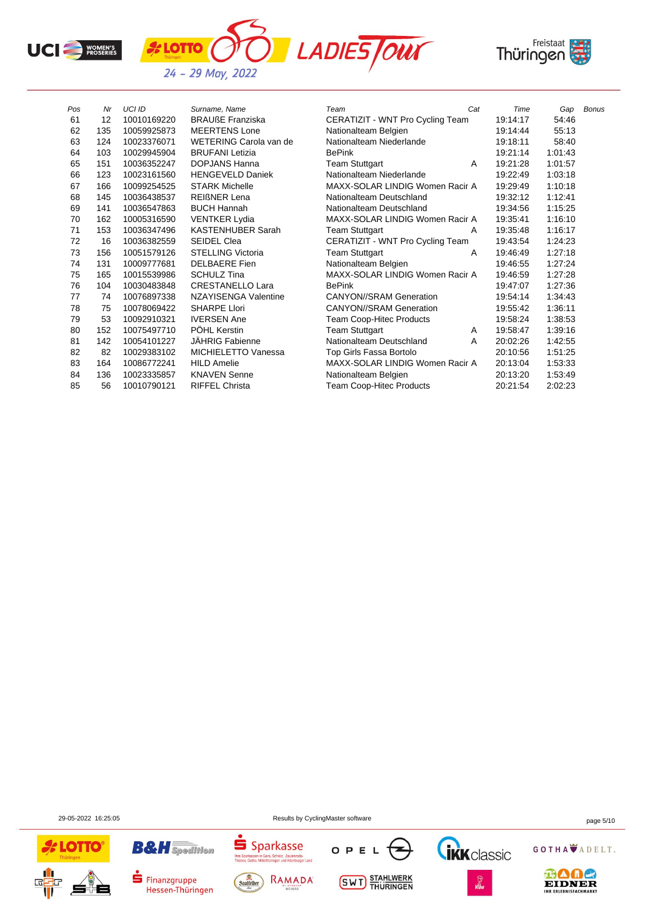





| Pos | Nr  | <b>UCI ID</b> | Surname, Name              | Team                             | Cat | Time     | Gap     | <b>Bonus</b> |
|-----|-----|---------------|----------------------------|----------------------------------|-----|----------|---------|--------------|
| 61  | 12  | 10010169220   | <b>BRAUßE Franziska</b>    | CERATIZIT - WNT Pro Cycling Team |     | 19:14:17 | 54:46   |              |
| 62  | 135 | 10059925873   | <b>MEERTENS Lone</b>       | Nationalteam Belgien             |     | 19:14:44 | 55:13   |              |
| 63  | 124 | 10023376071   | WETERING Carola van de     | Nationalteam Niederlande         |     | 19:18:11 | 58:40   |              |
| 64  | 103 | 10029945904   | <b>BRUFANI Letizia</b>     | <b>BePink</b>                    |     | 19:21:14 | 1:01:43 |              |
| 65  | 151 | 10036352247   | <b>DOPJANS Hanna</b>       | <b>Team Stuttgart</b>            | A   | 19:21:28 | 1:01:57 |              |
| 66  | 123 | 10023161560   | <b>HENGEVELD Daniek</b>    | Nationalteam Niederlande         |     | 19:22:49 | 1:03:18 |              |
| 67  | 166 | 10099254525   | <b>STARK Michelle</b>      | MAXX-SOLAR LINDIG Women Racir A  |     | 19:29:49 | 1:10:18 |              |
| 68  | 145 | 10036438537   | <b>REIGNER Lena</b>        | Nationalteam Deutschland         |     | 19:32:12 | 1:12:41 |              |
| 69  | 141 | 10036547863   | <b>BUCH Hannah</b>         | Nationalteam Deutschland         |     | 19:34:56 | 1:15:25 |              |
| 70  | 162 | 10005316590   | <b>VENTKER Lydia</b>       | MAXX-SOLAR LINDIG Women Racir A  |     | 19:35:41 | 1:16:10 |              |
| 71  | 153 | 10036347496   | <b>KASTENHUBER Sarah</b>   | <b>Team Stuttgart</b>            | A   | 19:35:48 | 1:16:17 |              |
| 72  | 16  | 10036382559   | SEIDEL Clea                | CERATIZIT - WNT Pro Cycling Team |     | 19:43:54 | 1:24:23 |              |
| 73  | 156 | 10051579126   | <b>STELLING Victoria</b>   | <b>Team Stuttgart</b>            | A   | 19:46:49 | 1:27:18 |              |
| 74  | 131 | 10009777681   | <b>DELBAERE</b> Fien       | Nationalteam Belgien             |     | 19:46:55 | 1:27:24 |              |
| 75  | 165 | 10015539986   | <b>SCHULZ Tina</b>         | MAXX-SOLAR LINDIG Women Racir A  |     | 19:46:59 | 1:27:28 |              |
| 76  | 104 | 10030483848   | <b>CRESTANELLO Lara</b>    | <b>BePink</b>                    |     | 19:47:07 | 1:27:36 |              |
| 77  | 74  | 10076897338   | NZAYISENGA Valentine       | <b>CANYON//SRAM Generation</b>   |     | 19:54:14 | 1:34:43 |              |
| 78  | 75  | 10078069422   | <b>SHARPE Llori</b>        | <b>CANYON//SRAM Generation</b>   |     | 19:55:42 | 1:36:11 |              |
| 79  | 53  | 10092910321   | <b>IVERSEN Ane</b>         | <b>Team Coop-Hitec Products</b>  |     | 19:58:24 | 1:38:53 |              |
| 80  | 152 | 10075497710   | PÖHL Kerstin               | <b>Team Stuttgart</b>            | A   | 19:58:47 | 1:39:16 |              |
| 81  | 142 | 10054101227   | <b>JÄHRIG Fabienne</b>     | Nationalteam Deutschland         | A   | 20:02:26 | 1:42:55 |              |
| 82  | 82  | 10029383102   | <b>MICHIELETTO Vanessa</b> | Top Girls Fassa Bortolo          |     | 20:10:56 | 1:51:25 |              |
| 83  | 164 | 10086772241   | <b>HILD Amelie</b>         | MAXX-SOLAR LINDIG Women Racir A  |     | 20:13:04 | 1:53:33 |              |
| 84  | 136 | 10023335857   | <b>KNAVEN Senne</b>        | Nationalteam Belgien             |     | 20:13:20 | 1:53:49 |              |
| 85  | 56  | 10010790121   | <b>RIFFEL Christa</b>      | <b>Team Coop-Hitec Products</b>  |     | 20:21:54 | 2:02:23 |              |

29-05-2022 16:25:05 Results by CyclingMaster software page 5/10



**B&H** Spedition

 $\blacksquare$  Finanzgruppe

Hessen-Thüringen









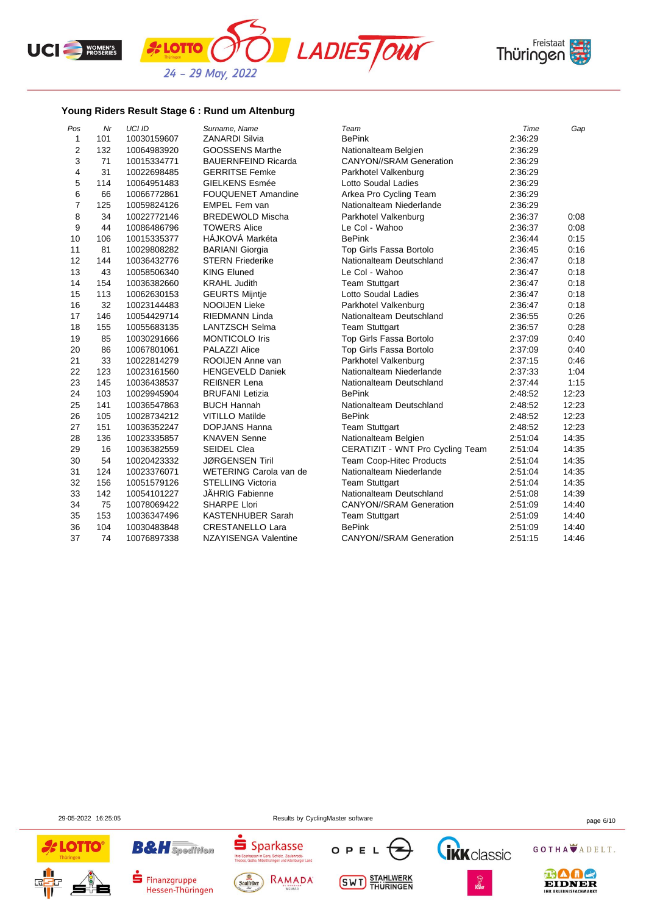





## **Young Riders Result Stage 6 : Rund um Altenburg**

*k* **LOTTO** 

| Pos            | Nr  | <b>UCI ID</b> | Surname, Name               | Team                             | Time    | Gap   |
|----------------|-----|---------------|-----------------------------|----------------------------------|---------|-------|
| 1              | 101 | 10030159607   | <b>ZANARDI Silvia</b>       | <b>BePink</b>                    | 2:36:29 |       |
| $\overline{2}$ | 132 | 10064983920   | <b>GOOSSENS Marthe</b>      | Nationalteam Belgien             | 2:36:29 |       |
| 3              | 71  | 10015334771   | <b>BAUERNFEIND Ricarda</b>  | <b>CANYON//SRAM Generation</b>   | 2:36:29 |       |
| 4              | 31  | 10022698485   | <b>GERRITSE Femke</b>       | Parkhotel Valkenburg             | 2:36:29 |       |
| 5              | 114 | 10064951483   | <b>GIELKENS Esmée</b>       | Lotto Soudal Ladies              | 2:36:29 |       |
| 6              | 66  | 10066772861   | <b>FOUQUENET Amandine</b>   | Arkea Pro Cycling Team           | 2:36:29 |       |
| $\overline{7}$ | 125 | 10059824126   | <b>EMPEL Fem van</b>        | Nationalteam Niederlande         | 2:36:29 |       |
| 8              | 34  | 10022772146   | <b>BREDEWOLD Mischa</b>     | Parkhotel Valkenburg             | 2:36:37 | 0:08  |
| 9              | 44  | 10086486796   | <b>TOWERS Alice</b>         | Le Col - Wahoo                   | 2:36:37 | 0:08  |
| 10             | 106 | 10015335377   | HÁJKOVÁ Markéta             | <b>BePink</b>                    | 2:36:44 | 0:15  |
| 11             | 81  | 10029808282   | <b>BARIANI Giorgia</b>      | Top Girls Fassa Bortolo          | 2:36:45 | 0:16  |
| 12             | 144 | 10036432776   | <b>STERN Friederike</b>     | Nationalteam Deutschland         | 2:36:47 | 0:18  |
| 13             | 43  | 10058506340   | <b>KING Eluned</b>          | Le Col - Wahoo                   | 2:36:47 | 0:18  |
| 14             | 154 | 10036382660   | <b>KRAHL Judith</b>         | <b>Team Stuttgart</b>            | 2:36:47 | 0:18  |
| 15             | 113 | 10062630153   | <b>GEURTS Mijntje</b>       | Lotto Soudal Ladies              | 2:36:47 | 0:18  |
| 16             | 32  | 10023144483   | <b>NOOIJEN Lieke</b>        | Parkhotel Valkenburg             | 2:36:47 | 0:18  |
| 17             | 146 | 10054429714   | <b>RIEDMANN Linda</b>       | Nationalteam Deutschland         | 2:36:55 | 0:26  |
| 18             | 155 | 10055683135   | LANTZSCH Selma              | <b>Team Stuttgart</b>            | 2:36:57 | 0:28  |
| 19             | 85  | 10030291666   | <b>MONTICOLO Iris</b>       | Top Girls Fassa Bortolo          | 2:37:09 | 0:40  |
| 20             | 86  | 10067801061   | <b>PALAZZI Alice</b>        | Top Girls Fassa Bortolo          | 2:37:09 | 0:40  |
| 21             | 33  | 10022814279   | ROOIJEN Anne van            | Parkhotel Valkenburg             | 2:37:15 | 0:46  |
| 22             | 123 | 10023161560   | <b>HENGEVELD Daniek</b>     | Nationalteam Niederlande         | 2:37:33 | 1:04  |
| 23             | 145 | 10036438537   | <b>REIGNER Lena</b>         | Nationalteam Deutschland         | 2:37:44 | 1:15  |
| 24             | 103 | 10029945904   | <b>BRUFANI</b> Letizia      | <b>BePink</b>                    | 2:48:52 | 12:23 |
| 25             | 141 | 10036547863   | <b>BUCH Hannah</b>          | Nationalteam Deutschland         | 2:48:52 | 12:23 |
| 26             | 105 | 10028734212   | <b>VITILLO Matilde</b>      | <b>BePink</b>                    | 2:48:52 | 12:23 |
| 27             | 151 | 10036352247   | <b>DOPJANS Hanna</b>        | <b>Team Stuttgart</b>            | 2:48:52 | 12:23 |
| 28             | 136 | 10023335857   | <b>KNAVEN Senne</b>         | Nationalteam Belgien             | 2:51:04 | 14:35 |
| 29             | 16  | 10036382559   | <b>SEIDEL Clea</b>          | CERATIZIT - WNT Pro Cycling Team | 2:51:04 | 14:35 |
| 30             | 54  | 10020423332   | <b>JØRGENSEN Tiril</b>      | Team Coop-Hitec Products         | 2:51:04 | 14:35 |
| 31             | 124 | 10023376071   | WETERING Carola van de      | Nationalteam Niederlande         | 2:51:04 | 14:35 |
| 32             | 156 | 10051579126   | <b>STELLING Victoria</b>    | <b>Team Stuttgart</b>            | 2:51:04 | 14:35 |
| 33             | 142 | 10054101227   | JÄHRIG Fabienne             | Nationalteam Deutschland         | 2:51:08 | 14:39 |
| 34             | 75  | 10078069422   | <b>SHARPE Llori</b>         | <b>CANYON//SRAM Generation</b>   | 2:51:09 | 14:40 |
| 35             | 153 | 10036347496   | <b>KASTENHUBER Sarah</b>    | <b>Team Stuttgart</b>            | 2:51:09 | 14:40 |
| 36             | 104 | 10030483848   | <b>CRESTANELLO Lara</b>     | <b>BePink</b>                    | 2:51:09 | 14:40 |
| 37             | 74  | 10076897338   | <b>NZAYISENGA Valentine</b> | <b>CANYON//SRAM Generation</b>   | 2:51:15 | 14:46 |





**B&H** Spedition

Finanzgruppe

Hessen-Thüringen





**SWT** STAHLWERK



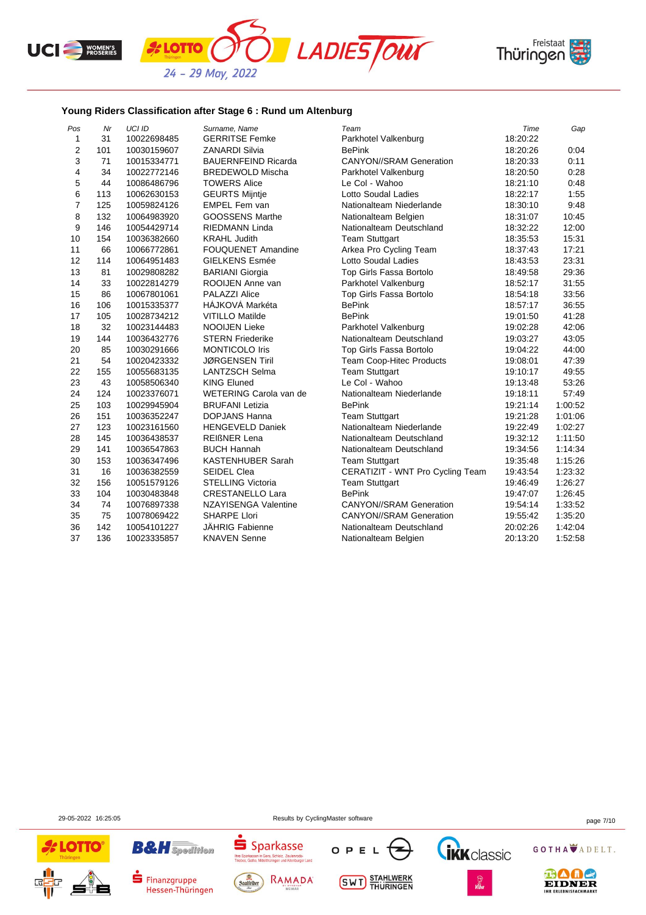





## **Young Riders Classification after Stage 6 : Rund um Altenburg**

*k* **LOTTO** 

| Pos            | Nr  | <b>UCI ID</b> | Surname, Name               | Team                             | Time     | Gap     |
|----------------|-----|---------------|-----------------------------|----------------------------------|----------|---------|
| $\mathbf{1}$   | 31  | 10022698485   | <b>GERRITSE Femke</b>       | Parkhotel Valkenburg             | 18:20:22 |         |
| $\mathbf 2$    | 101 | 10030159607   | <b>ZANARDI Silvia</b>       | <b>BePink</b>                    | 18:20:26 | 0:04    |
| 3              | 71  | 10015334771   | <b>BAUERNFEIND Ricarda</b>  | <b>CANYON//SRAM Generation</b>   | 18:20:33 | 0:11    |
| 4              | 34  | 10022772146   | <b>BREDEWOLD Mischa</b>     | Parkhotel Valkenburg             | 18:20:50 | 0:28    |
| 5              | 44  | 10086486796   | <b>TOWERS Alice</b>         | Le Col - Wahoo                   | 18:21:10 | 0:48    |
| 6              | 113 | 10062630153   | <b>GEURTS Mijntje</b>       | Lotto Soudal Ladies              | 18:22:17 | 1:55    |
| $\overline{7}$ | 125 | 10059824126   | <b>EMPEL Fem van</b>        | Nationalteam Niederlande         | 18:30:10 | 9:48    |
| 8              | 132 | 10064983920   | <b>GOOSSENS Marthe</b>      | Nationalteam Belgien             | 18:31:07 | 10:45   |
| 9              | 146 | 10054429714   | <b>RIEDMANN Linda</b>       | Nationalteam Deutschland         | 18:32:22 | 12:00   |
| 10             | 154 | 10036382660   | <b>KRAHL Judith</b>         | <b>Team Stuttgart</b>            | 18:35:53 | 15:31   |
| 11             | 66  | 10066772861   | <b>FOUQUENET Amandine</b>   | Arkea Pro Cycling Team           | 18:37:43 | 17:21   |
| 12             | 114 | 10064951483   | <b>GIELKENS Esmée</b>       | Lotto Soudal Ladies              | 18:43:53 | 23:31   |
| 13             | 81  | 10029808282   | <b>BARIANI Giorgia</b>      | Top Girls Fassa Bortolo          | 18:49:58 | 29:36   |
| 14             | 33  | 10022814279   | ROOIJEN Anne van            | Parkhotel Valkenburg             | 18:52:17 | 31:55   |
| 15             | 86  | 10067801061   | PALAZZI Alice               | Top Girls Fassa Bortolo          | 18:54:18 | 33:56   |
| 16             | 106 | 10015335377   | HÁJKOVÁ Markéta             | <b>BePink</b>                    | 18:57:17 | 36:55   |
| 17             | 105 | 10028734212   | <b>VITILLO Matilde</b>      | <b>BePink</b>                    | 19:01:50 | 41:28   |
| 18             | 32  | 10023144483   | <b>NOOIJEN Lieke</b>        | Parkhotel Valkenburg             | 19:02:28 | 42:06   |
| 19             | 144 | 10036432776   | <b>STERN Friederike</b>     | Nationalteam Deutschland         | 19:03:27 | 43:05   |
| 20             | 85  | 10030291666   | <b>MONTICOLO Iris</b>       | Top Girls Fassa Bortolo          | 19:04:22 | 44:00   |
| 21             | 54  | 10020423332   | <b>JØRGENSEN Tiril</b>      | Team Coop-Hitec Products         | 19:08:01 | 47:39   |
| 22             | 155 | 10055683135   | <b>LANTZSCH Selma</b>       | <b>Team Stuttgart</b>            | 19:10:17 | 49:55   |
| 23             | 43  | 10058506340   | <b>KING Eluned</b>          | Le Col - Wahoo                   | 19:13:48 | 53:26   |
| 24             | 124 | 10023376071   | WETERING Carola van de      | Nationalteam Niederlande         | 19:18:11 | 57:49   |
| 25             | 103 | 10029945904   | <b>BRUFANI Letizia</b>      | <b>BePink</b>                    | 19:21:14 | 1:00:52 |
| 26             | 151 | 10036352247   | <b>DOPJANS Hanna</b>        | <b>Team Stuttgart</b>            | 19:21:28 | 1:01:06 |
| 27             | 123 | 10023161560   | <b>HENGEVELD Daniek</b>     | Nationalteam Niederlande         | 19:22:49 | 1:02:27 |
| 28             | 145 | 10036438537   | <b>REIßNER Lena</b>         | Nationalteam Deutschland         | 19:32:12 | 1:11:50 |
| 29             | 141 | 10036547863   | <b>BUCH Hannah</b>          | Nationalteam Deutschland         | 19:34:56 | 1:14:34 |
| 30             | 153 | 10036347496   | <b>KASTENHUBER Sarah</b>    | <b>Team Stuttgart</b>            | 19:35:48 | 1:15:26 |
| 31             | 16  | 10036382559   | <b>SEIDEL Clea</b>          | CERATIZIT - WNT Pro Cycling Team | 19:43:54 | 1:23:32 |
| 32             | 156 | 10051579126   | <b>STELLING Victoria</b>    | <b>Team Stuttgart</b>            | 19:46:49 | 1:26:27 |
| 33             | 104 | 10030483848   | <b>CRESTANELLO Lara</b>     | <b>BePink</b>                    | 19:47:07 | 1:26:45 |
| 34             | 74  | 10076897338   | <b>NZAYISENGA Valentine</b> | <b>CANYON//SRAM Generation</b>   | 19:54:14 | 1:33:52 |
| 35             | 75  | 10078069422   | <b>SHARPE Llori</b>         | <b>CANYON//SRAM Generation</b>   | 19:55:42 | 1:35:20 |
| 36             | 142 | 10054101227   | <b>JÄHRIG Fabienne</b>      | Nationalteam Deutschland         | 20:02:26 | 1:42:04 |
| 37             | 136 | 10023335857   | <b>KNAVEN Senne</b>         | Nationalteam Belgien             | 20:13:20 | 1:52:58 |





**B&H** Spedition

Finanzgruppe

Hessen-Thüringen









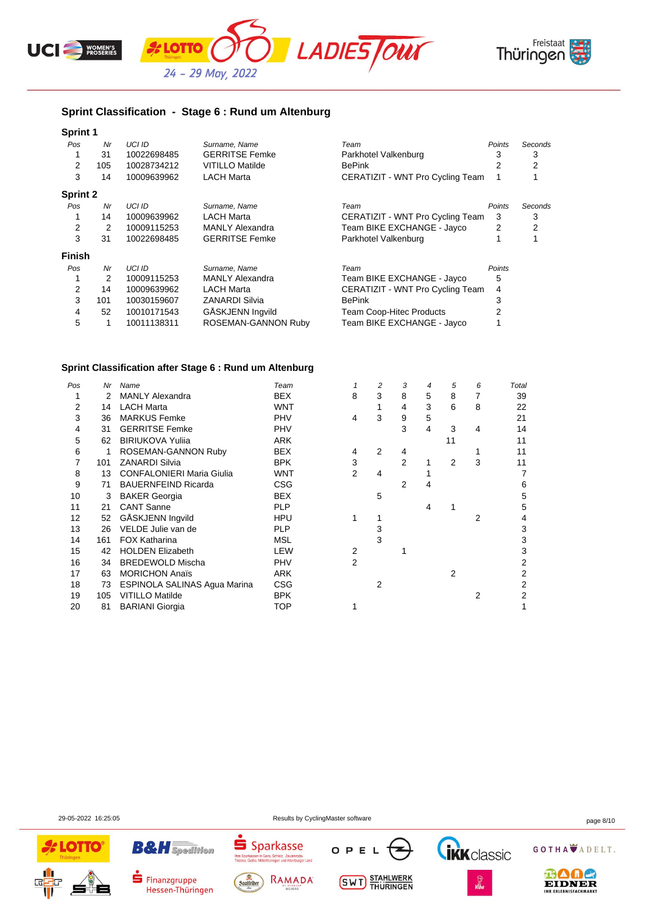



# **Sprint Classification - Stage 6 : Rund um Altenburg**

| Sprint 1        |     |             |                        |                                  |        |         |
|-----------------|-----|-------------|------------------------|----------------------------------|--------|---------|
| Pos             | Nr  | UCI ID      | Surname, Name          | Team                             | Points | Seconds |
|                 | 31  | 10022698485 | <b>GERRITSE Femke</b>  | Parkhotel Valkenburg             | 3      | 3       |
| 2               | 105 | 10028734212 | <b>VITILLO Matilde</b> | <b>BePink</b>                    | 2      | 2       |
| 3               | 14  | 10009639962 | <b>LACH Marta</b>      | CERATIZIT - WNT Pro Cycling Team |        |         |
| <b>Sprint 2</b> |     |             |                        |                                  |        |         |
| Pos             | Nr  | UCI ID      | Surname, Name          | Team                             | Points | Seconds |
|                 | 14  | 10009639962 | <b>LACH Marta</b>      | CERATIZIT - WNT Pro Cycling Team | 3      | 3       |
| 2               | 2   | 10009115253 | <b>MANLY Alexandra</b> | Team BIKE EXCHANGE - Jayco       | 2      | 2       |
| 3               | 31  | 10022698485 | <b>GERRITSE Femke</b>  | Parkhotel Valkenburg             |        |         |
| <b>Finish</b>   |     |             |                        |                                  |        |         |
| Pos             | Nr  | UCI ID      | Surname, Name          | Team                             | Points |         |
|                 | 2   | 10009115253 | <b>MANLY Alexandra</b> | Team BIKE EXCHANGE - Jayco       | 5      |         |
| 2               | 14  | 10009639962 | <b>LACH Marta</b>      | CERATIZIT - WNT Pro Cycling Team | 4      |         |
| 3               | 101 | 10030159607 | <b>ZANARDI Silvia</b>  | <b>BePink</b>                    | 3      |         |
| 4               | 52  | 10010171543 | GÅSKJENN Ingvild       | <b>Team Coop-Hitec Products</b>  | 2      |         |
| 5               |     | 10011138311 | ROSEMAN-GANNON Ruby    | Team BIKE EXCHANGE - Jayco       |        |         |

#### **Sprint Classification after Stage 6 : Rund um Altenburg**

| Nr  | Name                             | Team       |   | 2 | 3 | 4 | 5  | 6 | Total          |
|-----|----------------------------------|------------|---|---|---|---|----|---|----------------|
| 2   | <b>MANLY Alexandra</b>           | <b>BEX</b> | 8 | 3 | 8 | 5 | 8  | 7 | 39             |
| 14  | <b>LACH Marta</b>                | <b>WNT</b> |   |   | 4 | 3 | 6  | 8 | 22             |
| 36  | <b>MARKUS Femke</b>              | <b>PHV</b> | 4 | 3 | 9 | 5 |    |   | 21             |
| 31  | <b>GERRITSE Femke</b>            | <b>PHV</b> |   |   | 3 | 4 | 3  | 4 | 14             |
| 62  | <b>BIRIUKOVA Yulija</b>          | <b>ARK</b> |   |   |   |   | 11 |   | 11             |
|     | ROSEMAN-GANNON Ruby              | <b>BEX</b> | 4 | 2 | 4 |   |    |   | 11             |
| 101 | <b>ZANARDI Silvia</b>            | <b>BPK</b> | 3 |   | 2 |   | 2  | 3 | 11             |
| 13  | <b>CONFALONIERI Maria Giulia</b> | WNT        | 2 | 4 |   |   |    |   | 7              |
| 71  | <b>BAUERNFEIND Ricarda</b>       | CSG        |   |   | 2 | 4 |    |   | 6              |
| 3   | <b>BAKER Georgia</b>             | <b>BEX</b> |   | 5 |   |   |    |   | 5              |
| 21  | <b>CANT Sanne</b>                | <b>PLP</b> |   |   |   | 4 |    |   | 5              |
| 52  | <b>GASKJENN Ingvild</b>          | <b>HPU</b> |   |   |   |   |    | 2 | 4              |
| 26  | VELDE Julie van de               | <b>PLP</b> |   | 3 |   |   |    |   | 3              |
| 161 | <b>FOX Katharina</b>             | <b>MSL</b> |   | 3 |   |   |    |   | 3              |
| 42  | <b>HOLDEN Elizabeth</b>          | LEW        | 2 |   |   |   |    |   | 3              |
| 34  | <b>BREDEWOLD Mischa</b>          | <b>PHV</b> | 2 |   |   |   |    |   | $\overline{2}$ |
| 63  | <b>MORICHON Anaïs</b>            | ARK        |   |   |   |   | 2  |   | 2              |
| 73  | ESPINOLA SALINAS Agua Marina     | CSG        |   | 2 |   |   |    |   | 2              |
| 105 | <b>VITILLO Matilde</b>           | <b>BPK</b> |   |   |   |   |    | 2 | 2              |
| 81  | <b>BARIANI Giorgia</b>           | TOP        |   |   |   |   |    |   |                |
|     |                                  |            |   |   |   |   |    |   |                |

**B&H** Spedition

Finanzgruppe

Hessen-Thüringen

29-05-2022 16:25:05 Results by CyclingMaster software page 8/10

OPEL

**SWT** STAHLWERK





Gera, Schleiz, Zeulenroda-<br>Itelthüringen und Altenburger Land

RAMADA

 $S<sub>parkasse</sub>$ 

Thre Sp

Saalfelder

GOTHA ADELT.

**Tikk** classic

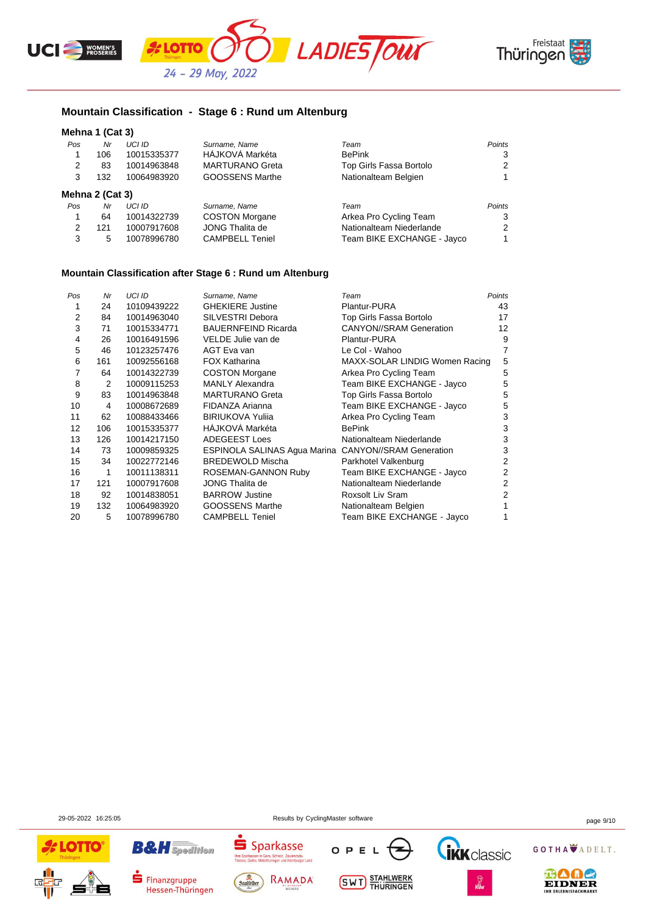



# **Mountain Classification - Stage 6 : Rund um Altenburg**

# **Mehna 1 (Cat 3)**

| Pos | Nr              | UCI ID      | Surname, Name          | Team                       | Points |
|-----|-----------------|-------------|------------------------|----------------------------|--------|
| 1   | 106             | 10015335377 | HÁJKOVÁ Markéta        | <b>BePink</b>              | 3      |
| 2   | 83              | 10014963848 | <b>MARTURANO Greta</b> | Top Girls Fassa Bortolo    | 2      |
| 3   | 132             | 10064983920 | GOOSSENS Marthe        | Nationalteam Belgien       |        |
|     | Mehna 2 (Cat 3) |             |                        |                            |        |
| Pos | Nr              | UCI ID      | Surname, Name          | Team                       | Points |
| 1   | 64              | 10014322739 | <b>COSTON Morgane</b>  | Arkea Pro Cycling Team     | 3      |
| 2   | 121             | 10007917608 | JONG Thalita de        | Nationalteam Niederlande   | 2      |
| 3   | 5               | 10078996780 | <b>CAMPBELL Teniel</b> | Team BIKE EXCHANGE - Jayco |        |

#### **Mountain Classification after Stage 6 : Rund um Altenburg**

| Pos | Nr  | <b>UCI ID</b> | Surname, Name                                               | Team                           | Points |
|-----|-----|---------------|-------------------------------------------------------------|--------------------------------|--------|
|     | 24  | 10109439222   | <b>GHEKIERE Justine</b>                                     | Plantur-PURA                   | 43     |
| 2   | 84  | 10014963040   | SILVESTRI Debora                                            | Top Girls Fassa Bortolo        | 17     |
| 3   | 71  | 10015334771   | <b>BAUERNFEIND Ricarda</b>                                  | <b>CANYON//SRAM Generation</b> | 12     |
| 4   | 26  | 10016491596   | VELDE Julie van de                                          | Plantur-PURA                   | 9      |
| 5   | 46  | 10123257476   | AGT Eva van                                                 | Le Col - Wahoo                 |        |
| 6   | 161 | 10092556168   | <b>FOX Katharina</b>                                        | MAXX-SOLAR LINDIG Women Racing | 5      |
| 7   | 64  | 10014322739   | <b>COSTON Morgane</b>                                       | Arkea Pro Cycling Team         | 5      |
| 8   | 2   | 10009115253   | <b>MANLY Alexandra</b>                                      | Team BIKE EXCHANGE - Jayco     | 5      |
| 9   | 83  | 10014963848   | <b>MARTURANO Greta</b>                                      | Top Girls Fassa Bortolo        | 5      |
| 10  | 4   | 10008672689   | FIDANZA Arianna                                             | Team BIKE EXCHANGE - Jayco     | 5      |
| 11  | 62  | 10088433466   | <b>BIRIUKOVA Yulija</b>                                     | Arkea Pro Cycling Team         | 3      |
| 12  | 106 | 10015335377   | HÁJKOVÁ Markéta                                             | <b>BePink</b>                  | 3      |
| 13  | 126 | 10014217150   | <b>ADEGEEST Loes</b>                                        | Nationalteam Niederlande       | 3      |
| 14  | 73  | 10009859325   | <b>ESPINOLA SALINAS Agua Marina CANYON//SRAM Generation</b> |                                | 3      |
| 15  | 34  | 10022772146   | <b>BREDEWOLD Mischa</b>                                     | Parkhotel Valkenburg           | 2      |
| 16  | 1   | 10011138311   | ROSEMAN-GANNON Ruby                                         | Team BIKE EXCHANGE - Jayco     | 2      |
| 17  | 121 | 10007917608   | <b>JONG Thalita de</b>                                      | Nationalteam Niederlande       | 2      |
| 18  | 92  | 10014838051   | <b>BARROW Justine</b>                                       | Roxsolt Liv Sram               | 2      |
| 19  | 132 | 10064983920   | GOOSSENS Marthe                                             | Nationalteam Belgien           |        |
| 20  | 5   | 10078996780   | <b>CAMPBELL Teniel</b>                                      | Team BIKE EXCHANGE - Jayco     |        |

29-05-2022 16:25:05 Results by CyclingMaster software page 9/10

OPEL

**SWT** STAHLWERK



lhre S

Saalfelder

**B&H** Spedition

Finanzgruppe

Hessen-Thüringen

 $S<sub>parkasse</sub>$ 

Gera, Schleiz, Zeulenroda-<br>ttelthüringen und Altenburger Land

RAMADA

GOTHA ADELT.

**Tikk** classic